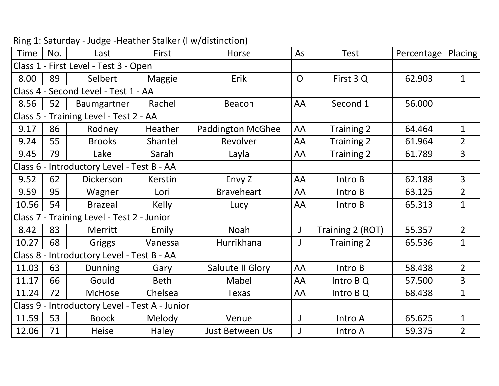| No.                                        | Last           | First         | Horse                                                                           | As                                             | <b>Test</b>      | Percentage | Placing        |
|--------------------------------------------|----------------|---------------|---------------------------------------------------------------------------------|------------------------------------------------|------------------|------------|----------------|
|                                            |                |               |                                                                                 |                                                |                  |            |                |
| 89                                         | Selbert        | Maggie        | Erik                                                                            | $\overline{O}$                                 | First 3 Q        | 62.903     | $\mathbf{1}$   |
| Class 4 - Second Level - Test 1 - AA       |                |               |                                                                                 |                                                |                  |            |                |
| 52                                         | Baumgartner    | Rachel        | Beacon                                                                          | AA                                             | Second 1         | 56.000     |                |
|                                            |                |               |                                                                                 |                                                |                  |            |                |
| 86                                         | Rodney         | Heather       | <b>Paddington McGhee</b>                                                        | AA                                             | Training 2       | 64.464     | $\mathbf{1}$   |
| 55                                         | <b>Brooks</b>  | Shantel       | Revolver                                                                        | AA                                             | Training 2       | 61.964     | $\overline{2}$ |
| 79                                         | Lake           | Sarah         | Layla                                                                           | AA                                             | Training 2       | 61.789     | $\overline{3}$ |
| Class 6 - Introductory Level - Test B - AA |                |               |                                                                                 |                                                |                  |            |                |
| 62                                         | Dickerson      | Kerstin       | Envy Z                                                                          | AA                                             | Intro B          | 62.188     | $\overline{3}$ |
| 95                                         | Wagner         | Lori          | <b>Braveheart</b>                                                               | AA                                             | Intro B          | 63.125     | $2^{\circ}$    |
| 54                                         | <b>Brazeal</b> | <b>Kelly</b>  | Lucy                                                                            | AA                                             | Intro B          | 65.313     | $\mathbf{1}$   |
| Class 7 - Training Level - Test 2 - Junior |                |               |                                                                                 |                                                |                  |            |                |
| 83                                         | Merritt        | Emily         | Noah                                                                            |                                                | Training 2 (ROT) | 55.357     | $\overline{2}$ |
| 68                                         | Griggs         | Vanessa       | Hurrikhana                                                                      |                                                | Training 2       | 65.536     | $\mathbf{1}$   |
| Class 8 - Introductory Level - Test B - AA |                |               |                                                                                 |                                                |                  |            |                |
| 63                                         | <b>Dunning</b> | Gary          | Saluute II Glory                                                                | AA                                             | Intro B          | 58.438     | $\overline{2}$ |
| 66                                         | Gould          | <b>Beth</b>   | Mabel                                                                           | AA                                             | Intro B Q        | 57.500     | 3              |
| 72                                         | <b>McHose</b>  | Chelsea       | <b>Texas</b>                                                                    | AA                                             | Intro B Q        | 68.438     | $\mathbf{1}$   |
|                                            |                |               |                                                                                 |                                                |                  |            |                |
| 53                                         | <b>Boock</b>   | <b>Melody</b> | Venue                                                                           |                                                | Intro A          | 65.625     | $\mathbf{1}$   |
| 71                                         | Heise          | Haley         | Just Between Us                                                                 |                                                | Intro A          | 59.375     | $\overline{2}$ |
|                                            |                |               | Class 1 - First Level - Test 3 - Open<br>Class 5 - Training Level - Test 2 - AA | Class 9 - Introductory Level - Test A - Junior |                  |            |                |

| Ring 1: Saturday - Judge -Heather Stalker (I w/distinction) |
|-------------------------------------------------------------|
|-------------------------------------------------------------|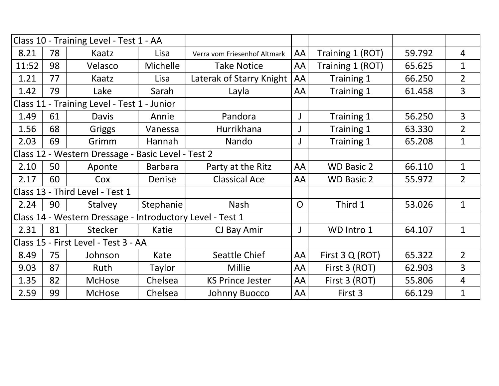| Class 10 - Training Level - Test 1 - AA                   |    |                |                |                              |                |                   |        |                |
|-----------------------------------------------------------|----|----------------|----------------|------------------------------|----------------|-------------------|--------|----------------|
| 8.21                                                      | 78 | Kaatz          | Lisa           | Verra vom Friesenhof Altmark | AA             | Training 1 (ROT)  | 59.792 | 4              |
| 11:52                                                     | 98 | Velasco        | Michelle       | <b>Take Notice</b>           | AA             | Training 1 (ROT)  | 65.625 | $\mathbf{1}$   |
| 1.21                                                      | 77 | Kaatz          | Lisa           | Laterak of Starry Knight     | AA             | Training 1        | 66.250 | $\overline{2}$ |
| 1.42                                                      | 79 | Lake           | Sarah          | Layla                        | AA             | Training 1        | 61.458 | 3              |
| Class 11 - Training Level - Test 1 - Junior               |    |                |                |                              |                |                   |        |                |
| 1.49                                                      | 61 | <b>Davis</b>   | Annie          | Pandora                      |                | Training 1        | 56.250 | 3              |
| 1.56                                                      | 68 | Griggs         | Vanessa        | Hurrikhana                   |                | Training 1        | 63.330 | $\overline{2}$ |
| 2.03                                                      | 69 | Grimm          | Hannah         | Nando                        |                | Training 1        | 65.208 | $\mathbf{1}$   |
| Class 12 - Western Dressage - Basic Level - Test 2        |    |                |                |                              |                |                   |        |                |
| 2.10                                                      | 50 | Aponte         | <b>Barbara</b> | Party at the Ritz            | AA             | <b>WD Basic 2</b> | 66.110 | $\mathbf{1}$   |
| 2.17                                                      | 60 | Cox            | Denise         | <b>Classical Ace</b>         | AA             | <b>WD Basic 2</b> | 55.972 | $\overline{2}$ |
| Class 13 - Third Level - Test 1                           |    |                |                |                              |                |                   |        |                |
| 2.24                                                      | 90 | Stalvey        | Stephanie      | <b>Nash</b>                  | $\overline{O}$ | Third 1           | 53.026 | $\mathbf{1}$   |
| Class 14 - Western Dressage - Introductory Level - Test 1 |    |                |                |                              |                |                   |        |                |
| 2.31                                                      | 81 | <b>Stecker</b> | Katie          | CJ Bay Amir                  |                | WD Intro 1        | 64.107 | $\mathbf{1}$   |
| Class 15 - First Level - Test 3 - AA                      |    |                |                |                              |                |                   |        |                |
| 8.49                                                      | 75 | Johnson        | Kate           | Seattle Chief                | AA             | First 3 Q (ROT)   | 65.322 | $\overline{2}$ |
| 9.03                                                      | 87 | Ruth           | Taylor         | <b>Millie</b>                | AA             | First 3 (ROT)     | 62.903 | 3              |
| 1.35                                                      | 82 | <b>McHose</b>  | Chelsea        | <b>KS Prince Jester</b>      | AA             | First 3 (ROT)     | 55.806 | $\overline{4}$ |
| 2.59                                                      | 99 | <b>McHose</b>  | Chelsea        | <b>Johnny Buocco</b>         | AA             | First 3           | 66.129 | $\mathbf{1}$   |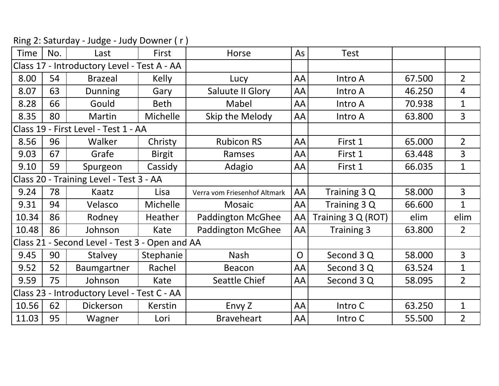| Time                                           | No. | Last           | First         | Horse                        | As             | <b>Test</b>        |        |                |
|------------------------------------------------|-----|----------------|---------------|------------------------------|----------------|--------------------|--------|----------------|
| Class 17 - Introductory Level - Test A - AA    |     |                |               |                              |                |                    |        |                |
| 8.00                                           | 54  | <b>Brazeal</b> | Kelly         | Lucy                         | AA             | Intro A            | 67.500 | 2 <sup>1</sup> |
| 8.07                                           | 63  | <b>Dunning</b> | Gary          | Saluute II Glory             | AA             | Intro A            | 46.250 | $\overline{4}$ |
| 8.28                                           | 66  | Gould          | <b>Beth</b>   | Mabel                        | AA             | Intro A            | 70.938 | $\mathbf{1}$   |
| 8.35                                           | 80  | Martin         | Michelle      | Skip the Melody              | AA             | Intro A            | 63.800 | 3              |
| Class 19 - First Level - Test 1 - AA           |     |                |               |                              |                |                    |        |                |
| 8.56                                           | 96  | Walker         | Christy       | <b>Rubicon RS</b>            | AA             | First 1            | 65.000 | $\overline{2}$ |
| 9.03                                           | 67  | Grafe          | <b>Birgit</b> | Ramses                       | AA             | First 1            | 63.448 | 3              |
| 9.10                                           | 59  | Spurgeon       | Cassidy       | Adagio                       | AA             | First 1            | 66.035 | $\mathbf{1}$   |
| Class 20 - Training Level - Test 3 - AA        |     |                |               |                              |                |                    |        |                |
| 9.24                                           | 78  | Kaatz          | Lisa          | Verra vom Friesenhof Altmark | AA             | Training 3 Q       | 58.000 | $\overline{3}$ |
| 9.31                                           | 94  | Velasco        | Michelle      | <b>Mosaic</b>                | AA             | Training 3 Q       | 66.600 | $\mathbf 1$    |
| 10.34                                          | 86  | Rodney         | Heather       | <b>Paddington McGhee</b>     | AA             | Training 3 Q (ROT) | elim   | elim           |
| 10.48                                          | 86  | Johnson        | Kate          | <b>Paddington McGhee</b>     | AA             | Training 3         | 63.800 | $2^{\circ}$    |
| Class 21 - Second Level - Test 3 - Open and AA |     |                |               |                              |                |                    |        |                |
| 9.45                                           | 90  | Stalvey        | Stephanie     | <b>Nash</b>                  | $\overline{O}$ | Second 3 Q         | 58.000 | 3              |
| 9.52                                           | 52  | Baumgartner    | Rachel        | Beacon                       | AA             | Second 3 Q         | 63.524 | $\mathbf{1}$   |
| 9.59                                           | 75  | Johnson        | Kate          | Seattle Chief                | AA             | Second 3 Q         | 58.095 | $\overline{2}$ |
| Class 23 - Introductory Level - Test C - AA    |     |                |               |                              |                |                    |        |                |
| 10.56                                          | 62  | Dickerson      | Kerstin       | Envy Z                       | AA             | Intro C            | 63.250 | $\mathbf{1}$   |
| 11.03                                          | 95  | Wagner         | Lori          | <b>Braveheart</b>            | AA             | Intro C            | 55.500 | $\overline{2}$ |

Ring 2: Saturday ‐ Judge ‐ Judy Downer ( <sup>r</sup> )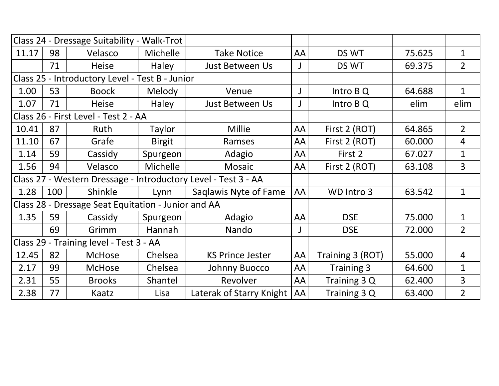| Class 24 - Dressage Suitability - Walk-Trot                    |     |                                      |               |                          |    |                  |        |                |
|----------------------------------------------------------------|-----|--------------------------------------|---------------|--------------------------|----|------------------|--------|----------------|
| 11.17                                                          | 98  | Velasco                              | Michelle      | <b>Take Notice</b>       | AA | DS WT            | 75.625 | $\mathbf{1}$   |
|                                                                | 71  | <b>Heise</b>                         | <b>Haley</b>  | Just Between Us          |    | DS WT            | 69.375 | $\overline{2}$ |
| Class 25 - Introductory Level - Test B - Junior                |     |                                      |               |                          |    |                  |        |                |
| 1.00                                                           | 53  | <b>Boock</b>                         | <b>Melody</b> | Venue                    |    | Intro BQ         | 64.688 | $\mathbf{1}$   |
| 1.07                                                           | 71  | <b>Heise</b>                         | Haley         | <b>Just Between Us</b>   |    | Intro B Q        | elim   | elim           |
|                                                                |     | Class 26 - First Level - Test 2 - AA |               |                          |    |                  |        |                |
| 10.41                                                          | 87  | Ruth                                 | Taylor        | <b>Millie</b>            | AA | First 2 (ROT)    | 64.865 | $\overline{2}$ |
| 11.10                                                          | 67  | Grafe                                | <b>Birgit</b> | Ramses                   | AA | First 2 (ROT)    | 60.000 | $\overline{4}$ |
| 1.14                                                           | 59  | Cassidy                              | Spurgeon      | Adagio                   | AA | First 2          | 67.027 | $\mathbf{1}$   |
| 1.56                                                           | 94  | Velasco                              | Michelle      | Mosaic                   | AA | First 2 (ROT)    | 63.108 | $\overline{3}$ |
| Class 27 - Western Dressage - Introductory Level - Test 3 - AA |     |                                      |               |                          |    |                  |        |                |
| 1.28                                                           | 100 | Shinkle                              | Lynn          | Saglawis Nyte of Fame    | AA | WD Intro 3       | 63.542 | $\mathbf{1}$   |
| Class 28 - Dressage Seat Equitation - Junior and AA            |     |                                      |               |                          |    |                  |        |                |
| 1.35                                                           | 59  | Cassidy                              | Spurgeon      | Adagio                   | AA | <b>DSE</b>       | 75.000 | $\mathbf{1}$   |
|                                                                | 69  | Grimm                                | Hannah        | Nando                    |    | <b>DSE</b>       | 72.000 | $\overline{2}$ |
| Class 29 - Training level - Test 3 - AA                        |     |                                      |               |                          |    |                  |        |                |
| 12.45                                                          | 82  | <b>McHose</b>                        | Chelsea       | <b>KS Prince Jester</b>  | AA | Training 3 (ROT) | 55.000 | $\overline{4}$ |
| 2.17                                                           | 99  | <b>McHose</b>                        | Chelsea       | Johnny Buocco            | AA | Training 3       | 64.600 | $\mathbf{1}$   |
| 2.31                                                           | 55  | <b>Brooks</b>                        | Shantel       | Revolver                 | AA | Training 3 Q     | 62.400 | 3              |
| 2.38                                                           | 77  | Kaatz                                | Lisa          | Laterak of Starry Knight | AA | Training 3 Q     | 63.400 | $\overline{2}$ |